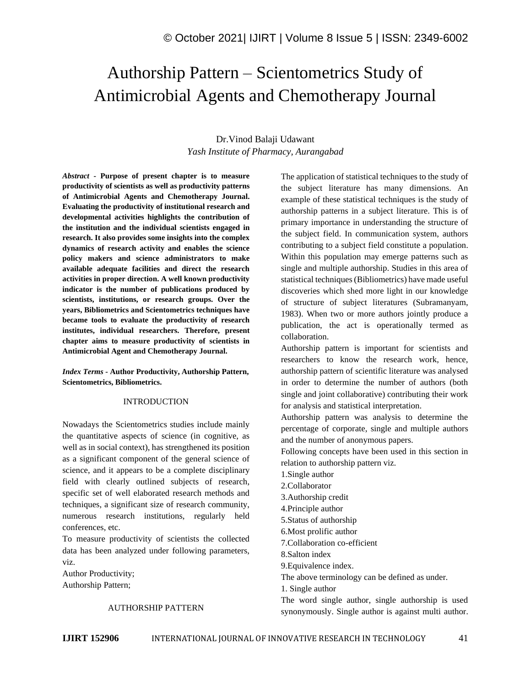# Authorship Pattern – Scientometrics Study of Antimicrobial Agents and Chemotherapy Journal

# Dr.Vinod Balaji Udawant *Yash Institute of Pharmacy, Aurangabad*

*Abstract -* **Purpose of present chapter is to measure productivity of scientists as well as productivity patterns of Antimicrobial Agents and Chemotherapy Journal. Evaluating the productivity of institutional research and developmental activities highlights the contribution of the institution and the individual scientists engaged in research. It also provides some insights into the complex dynamics of research activity and enables the science policy makers and science administrators to make available adequate facilities and direct the research activities in proper direction. A well known productivity indicator is the number of publications produced by scientists, institutions, or research groups. Over the years, Bibliometrics and Scientometrics techniques have became tools to evaluate the productivity of research institutes, individual researchers. Therefore, present chapter aims to measure productivity of scientists in Antimicrobial Agent and Chemotherapy Journal.**

*Index Terms -* **Author Productivity, Authorship Pattern, Scientometrics, Bibliometrics.**

#### INTRODUCTION

Nowadays the Scientometrics studies include mainly the quantitative aspects of science (in cognitive, as well as in social context), has strengthened its position as a significant component of the general science of science, and it appears to be a complete disciplinary field with clearly outlined subjects of research, specific set of well elaborated research methods and techniques, a significant size of research community, numerous research institutions, regularly held conferences, etc.

To measure productivity of scientists the collected data has been analyzed under following parameters, viz.

Author Productivity; Authorship Pattern;

#### AUTHORSHIP PATTERN

The application of statistical techniques to the study of the subject literature has many dimensions. An example of these statistical techniques is the study of authorship patterns in a subject literature. This is of primary importance in understanding the structure of the subject field. In communication system, authors contributing to a subject field constitute a population. Within this population may emerge patterns such as single and multiple authorship. Studies in this area of statistical techniques (Bibliometrics) have made useful discoveries which shed more light in our knowledge of structure of subject literatures (Subramanyam, 1983). When two or more authors jointly produce a publication, the act is operationally termed as collaboration.

Authorship pattern is important for scientists and researchers to know the research work, hence, authorship pattern of scientific literature was analysed in order to determine the number of authors (both single and joint collaborative) contributing their work for analysis and statistical interpretation.

Authorship pattern was analysis to determine the percentage of corporate, single and multiple authors and the number of anonymous papers.

Following concepts have been used in this section in relation to authorship pattern viz.

- 1.Single author
- 2.Collaborator
- 3.Authorship credit
- 4.Principle author
- 5.Status of authorship
- 6.Most prolific author
- 7.Collaboration co-efficient
- 8.Salton index
- 9.Equivalence index.

The above terminology can be defined as under.

1. Single author

The word single author, single authorship is used synonymously. Single author is against multi author.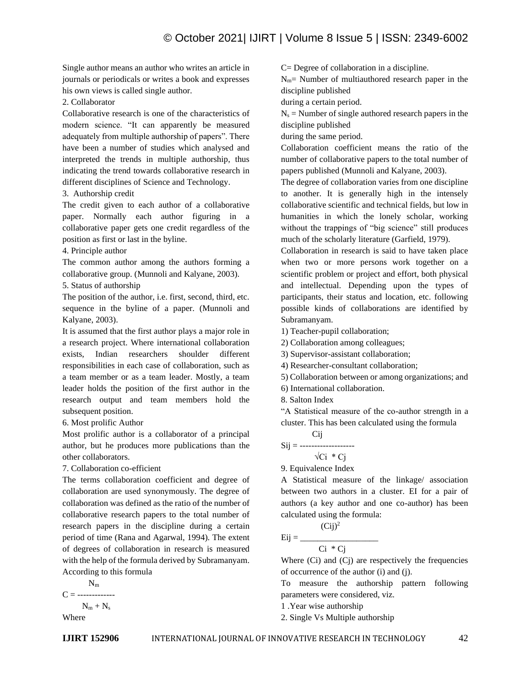Single author means an author who writes an article in journals or periodicals or writes a book and expresses his own views is called single author.

#### 2. Collaborator

Collaborative research is one of the characteristics of modern science. "It can apparently be measured adequately from multiple authorship of papers". There have been a number of studies which analysed and interpreted the trends in multiple authorship, thus indicating the trend towards collaborative research in different disciplines of Science and Technology.

3. Authorship credit

The credit given to each author of a collaborative paper. Normally each author figuring in a collaborative paper gets one credit regardless of the position as first or last in the byline.

#### 4. Principle author

The common author among the authors forming a collaborative group. (Munnoli and Kalyane, 2003).

5. Status of authorship

The position of the author, i.e. first, second, third, etc. sequence in the byline of a paper. (Munnoli and Kalyane, 2003).

It is assumed that the first author plays a major role in a research project. Where international collaboration exists, Indian researchers shoulder different responsibilities in each case of collaboration, such as a team member or as a team leader. Mostly, a team leader holds the position of the first author in the research output and team members hold the subsequent position.

6. Most prolific Author

Most prolific author is a collaborator of a principal author, but he produces more publications than the other collaborators.

7. Collaboration co-efficient

The terms collaboration coefficient and degree of collaboration are used synonymously. The degree of collaboration was defined as the ratio of the number of collaborative research papers to the total number of research papers in the discipline during a certain period of time (Rana and Agarwal, 1994). The extent of degrees of collaboration in research is measured with the help of the formula derived by Subramanyam. According to this formula

 $N<sub>m</sub>$  $C =$  -------------- $N_m + N_s$ Where

C= Degree of collaboration in a discipline.

 $N_m$ = Number of multiauthored research paper in the discipline published

during a certain period.

 $N_s$  = Number of single authored research papers in the discipline published

during the same period.

Collaboration coefficient means the ratio of the number of collaborative papers to the total number of papers published (Munnoli and Kalyane, 2003).

The degree of collaboration varies from one discipline to another. It is generally high in the intensely collaborative scientific and technical fields, but low in humanities in which the lonely scholar, working without the trappings of "big science" still produces much of the scholarly literature (Garfield, 1979).

Collaboration in research is said to have taken place when two or more persons work together on a scientific problem or project and effort, both physical and intellectual. Depending upon the types of participants, their status and location, etc. following possible kinds of collaborations are identified by Subramanyam.

1) Teacher-pupil collaboration;

2) Collaboration among colleagues;

3) Supervisor-assistant collaboration;

4) Researcher-consultant collaboration;

5) Collaboration between or among organizations; and

6) International collaboration.

8. Salton Index

"A Statistical measure of the co-author strength in a cluster. This has been calculated using the formula

$$
Sij = \frac{Cij}{\sqrt{Ci * Cj}}
$$

9. Equivalence Index

A Statistical measure of the linkage/ association between two authors in a cluster. EI for a pair of authors (a key author and one co-author) has been calculated using the formula:

 $(Cij)^2$ 

$$
Eij =
$$

$$
Ci * Cj
$$

Where  $(Ci)$  and  $(Cj)$  are respectively the frequencies of occurrence of the author (i) and (j).

To measure the authorship pattern following parameters were considered, viz.

1 .Year wise authorship

2. Single Vs Multiple authorship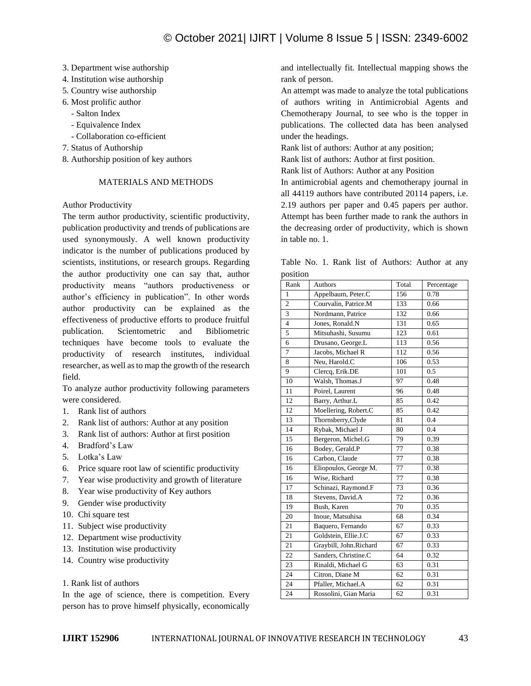- 3. Department wise authorship
- 4. Institution wise authorship
- 5. Country wise authorship
- 6. Most prolific author
	- Salton Index
	- Equivalence Index
	- Collaboration co-efficient
- 7. Status of Authorship
- 8. Authorship position of key authors

## MATERIALS AND METHODS

# Author Productivity

The term author productivity, scientific productivity, publication productivity and trends of publications are used synonymously. A well known productivity indicator is the number of publications produced by scientists, institutions, or research groups. Regarding the author productivity one can say that, author productivity means "authors productiveness or author's efficiency in publication". In other words author productivity can be explained as the effectiveness of productive efforts to produce fruitful publication. Scientometric and Bibliometric techniques have become tools to evaluate the productivity of research institutes, individual researcher, as well as to map the growth of the research field.

To analyze author productivity following parameters were considered.

- 1. Rank list of authors
- 2. Rank list of authors: Author at any position
- 3. Rank list of authors: Author at first position
- 4. Bradford's Law
- 5. Lotka's Law
- 6. Price square root law of scientific productivity
- 7. Year wise productivity and growth of literature
- 8. Year wise productivity of Key authors
- 9. Gender wise productivity
- 10. Chi square test
- 11. Subject wise productivity
- 12. Department wise productivity
- 13. Institution wise productivity
- 14. Country wise productivity

## 1. Rank list of authors

In the age of science, there is competition. Every person has to prove himself physically, economically

and intellectually fit. Intellectual mapping shows the rank of person.

An attempt was made to analyze the total publications of authors writing in Antimicrobial Agents and Chemotherapy Journal, to see who is the topper in publications. The collected data has been analysed under the headings.

Rank list of authors: Author at any position;

Rank list of authors: Author at first position.

Rank list of Authors: Author at any Position

In antimicrobial agents and chemotherapy journal in all 44119 authors have contributed 20114 papers, i.e. 2.19 authors per paper and 0.45 papers per author. Attempt has been further made to rank the authors in the decreasing order of productivity, which is shown in table no. 1.

|          |  |  | Table No. 1. Rank list of Authors: Author at any |  |  |
|----------|--|--|--------------------------------------------------|--|--|
| position |  |  |                                                  |  |  |

| Rank           | Authors                | Total | Percentage |
|----------------|------------------------|-------|------------|
| $\mathbf{1}$   | Appelbaum, Peter.C     | 156   | 0.78       |
| $\overline{c}$ | Courvalin, Patrice.M   | 133   | 0.66       |
| 3              | Nordmann, Patrice      | 132   | 0.66       |
| $\overline{4}$ | Jones, Ronald.N        | 131   | 0.65       |
| 5              | Mitsuhashi, Susumu     | 123   | 0.61       |
| 6              | Drusano, George.L      | 113   | 0.56       |
| 7              | Jacobs, Michael R      | 112   | 0.56       |
| 8              | Neu, Harold.C          | 106   | 0.53       |
| 9              | Clercq, Erik.DE        | 101   | 0.5        |
| 10             | Walsh, Thomas.J        | 97    | 0.48       |
| 11             | Poirel, Laurent        | 96    | 0.48       |
| 12             | Barry, Arthur.L        | 85    | 0.42       |
| 12             | Moellering, Robert.C   | 85    | 0.42       |
| 13             | Thornsberry, Clyde     | 81    | 0.4        |
| 14             | Rybak, Michael J       | 80    | 0.4        |
| 15             | Bergeron, Michel.G     | 79    | 0.39       |
| 16             | Bodey, Gerald.P        | 77    | 0.38       |
| 16             | Carbon, Claude         | 77    | 0.38       |
| 16             | Eliopoulos, George M.  | 77    | 0.38       |
| 16             | Wise, Richard          | 77    | 0.38       |
| 17             | Schinazi, Raymond.F    | 73    | 0.36       |
| 18             | Stevens, David.A       | 72    | 0.36       |
| 19             | Bush, Karen            | 70    | 0.35       |
| 20             | Inoue, Matsuhisa       | 68    | 0.34       |
| 21             | Baquero, Fernando      | 67    | 0.33       |
| 21             | Goldstein, Ellie.J.C   | 67    | 0.33       |
| 21             | Graybill, John.Richard | 67    | 0.33       |
| 22             | Sanders, Christine.C   | 64    | 0.32       |
| 23             | Rinaldi, Michael G     | 63    | 0.31       |
| 24             | Citron, Diane M        | 62    | 0.31       |
| 24             | Pfaller, Michael.A     | 62    | 0.31       |
| 24             | Rossolini, Gian Maria  | 62    | 0.31       |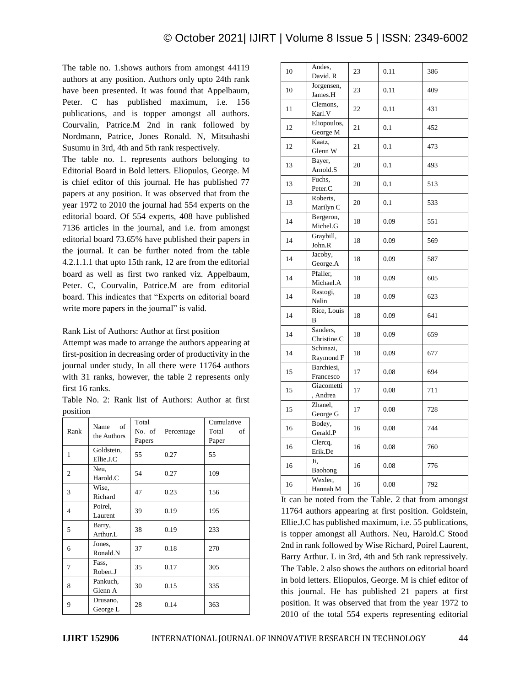The table no. 1.shows authors from amongst 44119 authors at any position. Authors only upto 24th rank have been presented. It was found that Appelbaum, Peter. C has published maximum, i.e. 156 publications, and is topper amongst all authors. Courvalin, Patrice.M 2nd in rank followed by Nordmann, Patrice, Jones Ronald. N, Mitsuhashi Susumu in 3rd, 4th and 5th rank respectively.

The table no. 1. represents authors belonging to Editorial Board in Bold letters. Eliopulos, George. M is chief editor of this journal. He has published 77 papers at any position. It was observed that from the year 1972 to 2010 the journal had 554 experts on the editorial board. Of 554 experts, 408 have published 7136 articles in the journal, and i.e. from amongst editorial board 73.65% have published their papers in the journal. It can be further noted from the table 4.2.1.1.1 that upto 15th rank, 12 are from the editorial board as well as first two ranked viz. Appelbaum, Peter. C, Courvalin, Patrice.M are from editorial board. This indicates that "Experts on editorial board write more papers in the journal" is valid.

Rank List of Authors: Author at first position

Attempt was made to arrange the authors appearing at first-position in decreasing order of productivity in the journal under study, In all there were 11764 authors with 31 ranks, however, the table 2 represents only first 16 ranks.

Table No. 2: Rank list of Authors: Author at first position

| Rank | Name<br>of<br>the Authors | Total<br>No. of<br>Papers | Percentage | Cumulative<br>Total<br>of<br>Paper |
|------|---------------------------|---------------------------|------------|------------------------------------|
| 1    | Goldstein,<br>Ellie.J.C   | 55                        | 0.27       | 55                                 |
| 2    | Neu,<br>Harold.C          | 54                        | 0.27       | 109                                |
| 3    | Wise,<br>Richard          | 47                        | 0.23       | 156                                |
| 4    | Poirel.<br>Laurent        | 39                        | 0.19       | 195                                |
| 5    | Barry,<br>Arthur L        | 38                        | 0.19       | 233                                |
| 6    | Jones,<br>Ronald.N        | 37                        | 0.18       | 270                                |
| 7    | Fass,<br>Robert.J         | 35                        | 0.17       | 305                                |
| 8    | Pankuch,<br>Glenn A       | 30                        | 0.15       | 335                                |
| 9    | Drusano,<br>George L      | 28                        | 0.14       | 363                                |

|    | Andes,                  |    |      |     |
|----|-------------------------|----|------|-----|
| 10 | David. R                | 23 | 0.11 | 386 |
| 10 | Jorgensen,<br>James.H   | 23 | 0.11 | 409 |
| 11 | Clemons,<br>Karl.V      | 22 | 0.11 | 431 |
| 12 | Eliopoulos,<br>George M | 21 | 0.1  | 452 |
| 12 | Kaatz,<br>Glenn W       | 21 | 0.1  | 473 |
| 13 | Bayer,<br>Arnold.S      | 20 | 0.1  | 493 |
| 13 | Fuchs,<br>Peter.C       | 20 | 0.1  | 513 |
| 13 | Roberts,<br>Marilyn C   | 20 | 0.1  | 533 |
| 14 | Bergeron,<br>Michel.G   | 18 | 0.09 | 551 |
| 14 | Graybill,<br>John.R     | 18 | 0.09 | 569 |
| 14 | Jacoby,<br>George.A     | 18 | 0.09 | 587 |
| 14 | Pfaller,<br>Michael.A   | 18 | 0.09 | 605 |
| 14 | Rastogi,<br>Nalin       | 18 | 0.09 | 623 |
| 14 | Rice, Louis<br>B        | 18 | 0.09 | 641 |
| 14 | Sanders,<br>Christine.C | 18 | 0.09 | 659 |
| 14 | Schinazi,<br>Raymond F  | 18 | 0.09 | 677 |
| 15 | Barchiesi,<br>Francesco | 17 | 0.08 | 694 |
| 15 | Giacometti<br>, Andrea  | 17 | 0.08 | 711 |
| 15 | Zhanel,<br>George G     | 17 | 0.08 | 728 |
| 16 | Bodey,<br>Gerald.P      | 16 | 0.08 | 744 |
| 16 | Clercq,<br>Erik.De      | 16 | 0.08 | 760 |
| 16 | Ji,<br>Baohong          | 16 | 0.08 | 776 |
| 16 | Wexler,<br>Hannah M     | 16 | 0.08 | 792 |

It can be noted from the Table. 2 that from amongst 11764 authors appearing at first position. Goldstein, Ellie.J.C has published maximum, i.e. 55 publications, is topper amongst all Authors. Neu, Harold.C Stood 2nd in rank followed by Wise Richard, Poirel Laurent, Barry Arthur. L in 3rd, 4th and 5th rank repressively. The Table. 2 also shows the authors on editorial board in bold letters. Eliopulos, George. M is chief editor of this journal. He has published 21 papers at first position. It was observed that from the year 1972 to 2010 of the total 554 experts representing editorial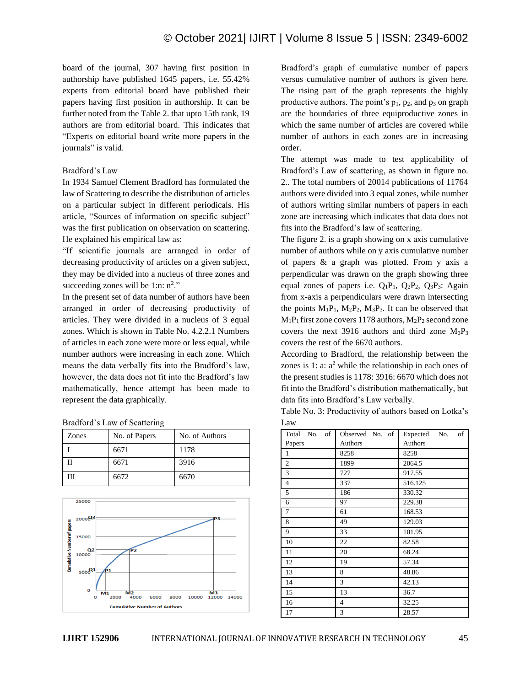board of the journal, 307 having first position in authorship have published 1645 papers, i.e. 55.42% experts from editorial board have published their papers having first position in authorship. It can be further noted from the Table 2. that upto 15th rank, 19 authors are from editorial board. This indicates that "Experts on editorial board write more papers in the journals" is valid.

## Bradford's Law

In 1934 Samuel Clement Bradford has formulated the law of Scattering to describe the distribution of articles on a particular subject in different periodicals. His article, "Sources of information on specific subject" was the first publication on observation on scattering. He explained his empirical law as:

"If scientific journals are arranged in order of decreasing productivity of articles on a given subject, they may be divided into a nucleus of three zones and succeeding zones will be  $1:n: n^2$ ."

In the present set of data number of authors have been arranged in order of decreasing productivity of articles. They were divided in a nucleus of 3 equal zones. Which is shown in Table No. 4.2.2.1 Numbers of articles in each zone were more or less equal, while number authors were increasing in each zone. Which means the data verbally fits into the Bradford's law, however, the data does not fit into the Bradford's law mathematically, hence attempt has been made to represent the data graphically.

| Bradford's Law of Scattering |  |  |  |  |
|------------------------------|--|--|--|--|
|------------------------------|--|--|--|--|

| Zones | No. of Papers | No. of Authors |
|-------|---------------|----------------|
|       | 6671          | 1178           |
| П     | 6671          | 3916           |
| Ш     | 6672          | 6670           |



Bradford's graph of cumulative number of papers versus cumulative number of authors is given here. The rising part of the graph represents the highly productive authors. The point's  $p_1$ ,  $p_2$ , and  $p_3$  on graph are the boundaries of three equiproductive zones in which the same number of articles are covered while number of authors in each zones are in increasing order.

The attempt was made to test applicability of Bradford's Law of scattering, as shown in figure no. 2.. The total numbers of 20014 publications of 11764 authors were divided into 3 equal zones, while number of authors writing similar numbers of papers in each zone are increasing which indicates that data does not fits into the Bradford's law of scattering.

The figure 2. is a graph showing on x axis cumulative number of authors while on y axis cumulative number of papers & a graph was plotted. From y axis a perpendicular was drawn on the graph showing three equal zones of papers i.e.  $Q_1P_1$ ,  $Q_2P_2$ ,  $Q_3P_3$ : Again from x-axis a perpendiculars were drawn intersecting the points  $M_1P_1$ ,  $M_2P_2$ ,  $M_3P_3$ . It can be observed that  $M_1P_1$  first zone covers 1178 authors,  $M_2P_2$  second zone covers the next 3916 authors and third zone  $M_3P_3$ covers the rest of the 6670 authors.

According to Bradford, the relationship between the zones is 1: a:  $a<sup>2</sup>$  while the relationship in each ones of the present studies is 1178: 3916: 6670 which does not fit into the Bradford's distribution mathematically, but data fits into Bradford's Law verbally.

Table No. 3: Productivity of authors based on Lotka's Law

| of<br>Total<br>No. | Observed No. of | of<br>Expected<br>No. |
|--------------------|-----------------|-----------------------|
| Papers             | Authors         | Authors               |
| $\mathbf{1}$       | 8258            | 8258                  |
| $\overline{c}$     | 1899            | 2064.5                |
| 3                  | 727             | 917.55                |
| $\overline{4}$     | 337             | 516.125               |
| 5                  | 186             | 330.32                |
| 6                  | 97              | 229.38                |
| $\tau$             | 61              | 168.53                |
| 8                  | 49              | 129.03                |
| 9                  | 33              | 101.95                |
| 10                 | 22              | 82.58                 |
| 11                 | 20              | 68.24                 |
| 12                 | 19              | 57.34                 |
| 13                 | 8               | 48.86                 |
| 14                 | 3               | 42.13                 |
| 15                 | 13              | 36.7                  |
| 16                 | 4               | 32.25                 |
| 17                 | 3               | 28.57                 |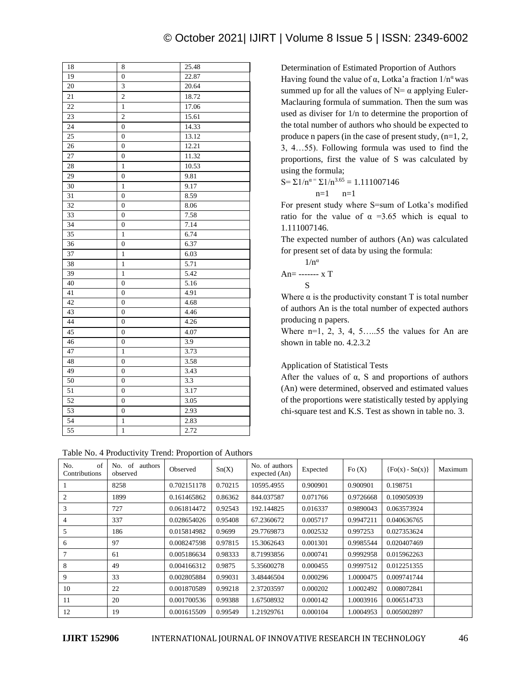| 18     | 8                       | 25.48 |
|--------|-------------------------|-------|
| 19     | $\overline{0}$          | 22.87 |
| $20\,$ | $\overline{\mathbf{3}}$ | 20.64 |
| 21     | $\overline{c}$          | 18.72 |
| 22     | $\mathbf{1}$            | 17.06 |
| 23     | $\overline{c}$          | 15.61 |
| 24     | $\overline{0}$          | 14.33 |
| 25     | $\boldsymbol{0}$        | 13.12 |
| 26     | $\overline{0}$          | 12.21 |
| 27     | $\overline{0}$          | 11.32 |
| 28     | $\mathbf{1}$            | 10.53 |
| 29     | $\overline{0}$          | 9.81  |
| 30     | $\mathbf{1}$            | 9.17  |
| 31     | $\overline{0}$          | 8.59  |
| 32     | $\overline{0}$          | 8.06  |
| 33     | $\overline{0}$          | 7.58  |
| 34     | $\overline{0}$          | 7.14  |
| 35     | $\mathbf{1}$            | 6.74  |
| 36     | $\overline{0}$          | 6.37  |
| 37     | $\mathbf{1}$            | 6.03  |
| 38     | $\mathbf{1}$            | 5.71  |
| 39     | $\mathbf{1}$            | 5.42  |
| 40     | $\mathbf{0}$            | 5.16  |
| 41     | $\overline{0}$          | 4.91  |
| 42     | $\overline{0}$          | 4.68  |
| 43     | $\overline{0}$          | 4.46  |
| 44     | $\overline{0}$          | 4.26  |
| 45     | $\overline{0}$          | 4.07  |
| 46     | $\boldsymbol{0}$        | 3.9   |
| 47     | 1                       | 3.73  |
| 48     | $\overline{0}$          | 3.58  |
| 49     | $\overline{0}$          | 3.43  |
| 50     | $\overline{0}$          | 3.3   |
| 51     | $\overline{0}$          | 3.17  |
| 52     | $\overline{0}$          | 3.05  |
| 53     | $\overline{0}$          | 2.93  |
| 54     | $\mathbf{1}$            | 2.83  |
| 55     | $\mathbf{1}$            | 2.72  |

Determination of Estimated Proportion of Authors Having found the value of  $\alpha$ , Lotka'a fraction  $1/n^{\alpha}$  was summed up for all the values of  $N = \alpha$  applying Euler-Maclauring formula of summation. Then the sum was used as diviser for 1/n to determine the proportion of the total number of authors who should be expected to produce n papers (in the case of present study, (n=1, 2, 3, 4…55). Following formula was used to find the proportions, first the value of S was calculated by using the formula;

S= $\Sigma 1/n^{\alpha} = \Sigma 1/n^{3.65} = 1.111007146$  $n=1$   $n=1$ 

For present study where S=sum of Lotka's modified ratio for the value of  $\alpha$  =3.65 which is equal to 1.111007146.

The expected number of authors (An) was calculated for present set of data by using the formula:

$$
1/n^{\alpha}
$$
  
An=- $\cdots$  x T  
S

Where  $\alpha$  is the productivity constant T is total number of authors An is the total number of expected authors producing n papers.

Where  $n=1, 2, 3, 4, 5, \ldots, 55$  the values for An are shown in table no. 4.2.3.2

## Application of Statistical Tests

After the values of  $\alpha$ , S and proportions of authors (An) were determined, observed and estimated values of the proportions were statistically tested by applying chi-square test and K.S. Test as shown in table no. 3.

| of<br>No.<br>Contributions | of<br>No.<br>authors<br>observed | Observed    | Sn(X)   | No. of authors<br>expected (An) | Expected | Fo $(X)$  | $\{Fo(x) - Sn(x)\}\$ | Maximum |
|----------------------------|----------------------------------|-------------|---------|---------------------------------|----------|-----------|----------------------|---------|
|                            | 8258                             | 0.702151178 | 0.70215 | 10595.4955                      | 0.900901 | 0.900901  | 0.198751             |         |
| $\overline{2}$             | 1899                             | 0.161465862 | 0.86362 | 844.037587                      | 0.071766 | 0.9726668 | 0.109050939          |         |
| 3                          | 727                              | 0.061814472 | 0.92543 | 192.144825                      | 0.016337 | 0.9890043 | 0.063573924          |         |
| 4                          | 337                              | 0.028654026 | 0.95408 | 67.2360672                      | 0.005717 | 0.9947211 | 0.040636765          |         |
| 5                          | 186                              | 0.015814982 | 0.9699  | 29.7769873                      | 0.002532 | 0.997253  | 0.027353624          |         |
| 6                          | 97                               | 0.008247598 | 0.97815 | 15.3062643                      | 0.001301 | 0.9985544 | 0.020407469          |         |
|                            | 61                               | 0.005186634 | 0.98333 | 8.71993856                      | 0.000741 | 0.9992958 | 0.015962263          |         |
| 8                          | 49                               | 0.004166312 | 0.9875  | 5.35600278                      | 0.000455 | 0.9997512 | 0.012251355          |         |
| 9                          | 33                               | 0.002805884 | 0.99031 | 3.48446504                      | 0.000296 | 1.0000475 | 0.009741744          |         |
| 10                         | 22                               | 0.001870589 | 0.99218 | 2.37203597                      | 0.000202 | 1.0002492 | 0.008072841          |         |
| 11                         | 20                               | 0.001700536 | 0.99388 | 1.67508932                      | 0.000142 | 1.0003916 | 0.006514733          |         |
| 12                         | 19                               | 0.001615509 | 0.99549 | 1.21929761                      | 0.000104 | 1.0004953 | 0.005002897          |         |

| Table No. 4 Productivity Trend: Proportion of Authors |  |  |
|-------------------------------------------------------|--|--|
|-------------------------------------------------------|--|--|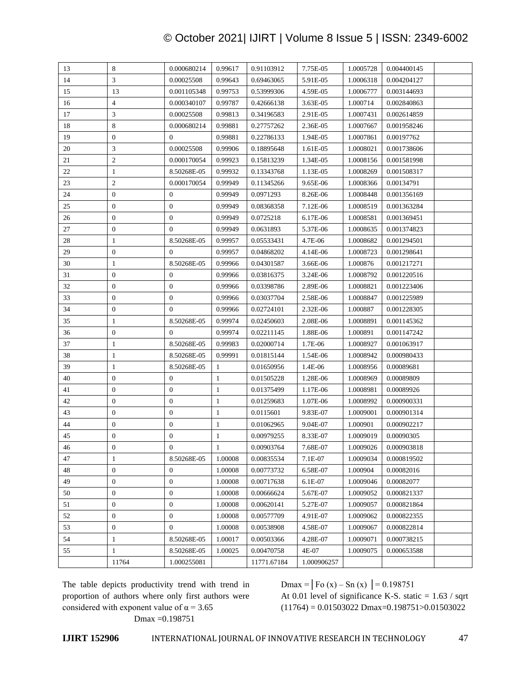# © October 2021| IJIRT | Volume 8 Issue 5 | ISSN: 2349-6002

| 13 | 8                        | 0.000680214      | 0.99617      | 0.91103912  | 7.75E-05    | 1.0005728 | 0.004400145 |  |
|----|--------------------------|------------------|--------------|-------------|-------------|-----------|-------------|--|
| 14 | 3                        | 0.00025508       | 0.99643      | 0.69463065  | 5.91E-05    | 1.0006318 | 0.004204127 |  |
| 15 | 13                       | 0.001105348      | 0.99753      | 0.53999306  | 4.59E-05    | 1.0006777 | 0.003144693 |  |
| 16 | $\overline{\mathcal{L}}$ | 0.000340107      | 0.99787      | 0.42666138  | 3.63E-05    | 1.000714  | 0.002840863 |  |
| 17 | 3                        | 0.00025508       | 0.99813      | 0.34196583  | 2.91E-05    | 1.0007431 | 0.002614859 |  |
| 18 | 8                        | 0.000680214      | 0.99881      | 0.27757262  | 2.36E-05    | 1.0007667 | 0.001958246 |  |
| 19 | $\boldsymbol{0}$         | $\mathbf{0}$     | 0.99881      | 0.22786133  | 1.94E-05    | 1.0007861 | 0.00197762  |  |
| 20 | 3                        | 0.00025508       | 0.99906      | 0.18895648  | 1.61E-05    | 1.0008021 | 0.001738606 |  |
| 21 | $\mathfrak{2}$           | 0.000170054      | 0.99923      | 0.15813239  | 1.34E-05    | 1.0008156 | 0.001581998 |  |
| 22 | $\mathbf{1}$             | 8.50268E-05      | 0.99932      | 0.13343768  | 1.13E-05    | 1.0008269 | 0.001508317 |  |
| 23 | $\overline{c}$           | 0.000170054      | 0.99949      | 0.11345266  | 9.65E-06    | 1.0008366 | 0.00134791  |  |
| 24 | $\boldsymbol{0}$         | $\boldsymbol{0}$ | 0.99949      | 0.0971293   | 8.26E-06    | 1.0008448 | 0.001356169 |  |
| 25 | $\boldsymbol{0}$         | $\overline{0}$   | 0.99949      | 0.08368358  | 7.12E-06    | 1.0008519 | 0.001363284 |  |
| 26 | $\boldsymbol{0}$         | $\overline{0}$   | 0.99949      | 0.0725218   | 6.17E-06    | 1.0008581 | 0.001369451 |  |
| 27 | $\boldsymbol{0}$         | $\overline{0}$   | 0.99949      | 0.0631893   | 5.37E-06    | 1.0008635 | 0.001374823 |  |
| 28 | $\mathbf{1}$             | 8.50268E-05      | 0.99957      | 0.05533431  | 4.7E-06     | 1.0008682 | 0.001294501 |  |
| 29 | $\boldsymbol{0}$         | $\mathbf{0}$     | 0.99957      | 0.04868202  | 4.14E-06    | 1.0008723 | 0.001298641 |  |
| 30 | $\mathbf{1}$             | 8.50268E-05      | 0.99966      | 0.04301587  | 3.66E-06    | 1.000876  | 0.001217271 |  |
| 31 | $\boldsymbol{0}$         | $\overline{0}$   | 0.99966      | 0.03816375  | 3.24E-06    | 1.0008792 | 0.001220516 |  |
| 32 | $\mathbf{0}$             | $\overline{0}$   | 0.99966      | 0.03398786  | 2.89E-06    | 1.0008821 | 0.001223406 |  |
| 33 | $\boldsymbol{0}$         | $\overline{0}$   | 0.99966      | 0.03037704  | 2.58E-06    | 1.0008847 | 0.001225989 |  |
| 34 | $\boldsymbol{0}$         | $\boldsymbol{0}$ | 0.99966      | 0.02724101  | 2.32E-06    | 1.000887  | 0.001228305 |  |
| 35 | $\mathbf{1}$             | 8.50268E-05      | 0.99974      | 0.02450603  | 2.08E-06    | 1.0008891 | 0.001145362 |  |
| 36 | $\boldsymbol{0}$         | $\overline{0}$   | 0.99974      | 0.02211145  | 1.88E-06    | 1.000891  | 0.001147242 |  |
| 37 | $\mathbf{1}$             | 8.50268E-05      | 0.99983      | 0.02000714  | 1.7E-06     | 1.0008927 | 0.001063917 |  |
| 38 | $\mathbf{1}$             | 8.50268E-05      | 0.99991      | 0.01815144  | 1.54E-06    | 1.0008942 | 0.000980433 |  |
| 39 | $\mathbf{1}$             | 8.50268E-05      | $\mathbf{1}$ | 0.01650956  | 1.4E-06     | 1.0008956 | 0.00089681  |  |
| 40 | $\boldsymbol{0}$         | $\boldsymbol{0}$ | $\mathbf{1}$ | 0.01505228  | 1.28E-06    | 1.0008969 | 0.00089809  |  |
| 41 | $\boldsymbol{0}$         | $\boldsymbol{0}$ | $\mathbf{1}$ | 0.01375499  | 1.17E-06    | 1.0008981 | 0.00089926  |  |
| 42 | $\boldsymbol{0}$         | $\boldsymbol{0}$ | $\mathbf{1}$ | 0.01259683  | 1.07E-06    | 1.0008992 | 0.000900331 |  |
| 43 | $\boldsymbol{0}$         | $\boldsymbol{0}$ | $\mathbf{1}$ | 0.0115601   | 9.83E-07    | 1.0009001 | 0.000901314 |  |
| 44 | $\boldsymbol{0}$         | $\overline{0}$   | $\mathbf{1}$ | 0.01062965  | 9.04E-07    | 1.000901  | 0.000902217 |  |
| 45 | $\boldsymbol{0}$         | $\mathbf{0}$     | $\mathbf{1}$ | 0.00979255  | 8.33E-07    | 1.0009019 | 0.00090305  |  |
| 46 | $\mathbf{0}$             | $\overline{0}$   | 1            | 0.00903764  | 7.68E-07    | 1.0009026 | 0.000903818 |  |
| 47 | $\mathbf{1}$             | 8.50268E-05      | 1.00008      | 0.00835534  | 7.1E-07     | 1.0009034 | 0.000819502 |  |
| 48 | $\boldsymbol{0}$         | $\boldsymbol{0}$ | 1.00008      | 0.00773732  | 6.58E-07    | 1.000904  | 0.00082016  |  |
| 49 | $\boldsymbol{0}$         | $\boldsymbol{0}$ | 1.00008      | 0.00717638  | 6.1E-07     | 1.0009046 | 0.00082077  |  |
| 50 | $\boldsymbol{0}$         | $\boldsymbol{0}$ | 1.00008      | 0.00666624  | 5.67E-07    | 1.0009052 | 0.000821337 |  |
| 51 | $\boldsymbol{0}$         | $\boldsymbol{0}$ | 1.00008      | 0.00620141  | 5.27E-07    | 1.0009057 | 0.000821864 |  |
| 52 | 0                        | $\boldsymbol{0}$ | 1.00008      | 0.00577709  | 4.91E-07    | 1.0009062 | 0.000822355 |  |
| 53 | $\boldsymbol{0}$         | $\boldsymbol{0}$ | 1.00008      | 0.00538908  | 4.58E-07    | 1.0009067 | 0.000822814 |  |
| 54 | 1                        | 8.50268E-05      | 1.00017      | 0.00503366  | 4.28E-07    | 1.0009071 | 0.000738215 |  |
| 55 | $\mathbf{1}$             | 8.50268E-05      | 1.00025      | 0.00470758  | 4E-07       | 1.0009075 | 0.000653588 |  |
|    | 11764                    | 1.000255081      |              | 11771.67184 | 1.000906257 |           |             |  |
|    |                          |                  |              |             |             |           |             |  |

The table depicts productivity trend with trend in proportion of authors where only first authors were considered with exponent value of  $\alpha$  = 3.65 Dmax =0.198751

Dmax =  $|Fo (x) - Sn (x) | = 0.198751$ 

At 0.01 level of significance K-S. static  $= 1.63 / s$ qrt  $(11764) = 0.01503022$  Dmax=0.198751>0.01503022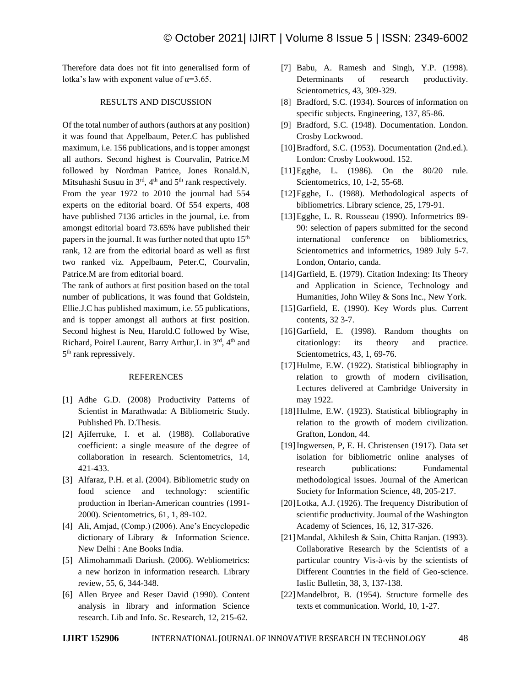Therefore data does not fit into generalised form of lotka's law with exponent value of  $\alpha = 3.65$ .

## RESULTS AND DISCUSSION

Of the total number of authors (authors at any position) it was found that Appelbaum, Peter.C has published maximum, i.e. 156 publications, and is topper amongst all authors. Second highest is Courvalin, Patrice.M followed by Nordman Patrice, Jones Ronald.N, Mitsuhashi Susuu in  $3<sup>rd</sup>$ ,  $4<sup>th</sup>$  and  $5<sup>th</sup>$  rank respectively. From the year 1972 to 2010 the journal had 554 experts on the editorial board. Of 554 experts, 408 have published 7136 articles in the journal, i.e. from amongst editorial board 73.65% have published their papers in the journal. It was further noted that upto  $15<sup>th</sup>$ rank, 12 are from the editorial board as well as first two ranked viz. Appelbaum, Peter.C, Courvalin, Patrice.M are from editorial board.

The rank of authors at first position based on the total number of publications, it was found that Goldstein, Ellie.J.C has published maximum, i.e. 55 publications, and is topper amongst all authors at first position. Second highest is Neu, Harold.C followed by Wise, Richard, Poirel Laurent, Barry Arthur,L in 3rd, 4th and 5<sup>th</sup> rank repressively.

#### REFERENCES

- [1] Adhe G.D. (2008) Productivity Patterns of Scientist in Marathwada: A Bibliometric Study. Published Ph. D.Thesis.
- [2] Ajiferruke, I. et al. (1988). Collaborative coefficient: a single measure of the degree of collaboration in research. Scientometrics, 14, 421-433.
- [3] Alfaraz, P.H. et al. (2004). Bibliometric study on food science and technology: scientific production in Iberian-American countries (1991- 2000). Scientometrics, 61, 1, 89-102.
- [4] Ali, Amjad, (Comp.) (2006). Ane's Encyclopedic dictionary of Library & Information Science. New Delhi : Ane Books India.
- [5] Alimohammadi Dariush. (2006). Webliometrics: a new horizon in information research. Library review, 55, 6, 344-348.
- [6] Allen Bryee and Reser David (1990). Content analysis in library and information Science research. Lib and Info. Sc. Research, 12, 215-62.
- [7] Babu, A. Ramesh and Singh, Y.P. (1998). Determinants of research productivity. Scientometrics, 43, 309-329.
- [8] Bradford, S.C. (1934). Sources of information on specific subjects. Engineering, 137, 85-86.
- [9] Bradford, S.C. (1948). Documentation. London. Crosby Lockwood.
- [10]Bradford, S.C. (1953). Documentation (2nd.ed.). London: Crosby Lookwood. 152.
- [11] Egghe, L. (1986). On the 80/20 rule. Scientometrics, 10, 1-2, 55-68.
- [12]Egghe, L. (1988). Methodological aspects of bibliometrics. Library science, 25, 179-91.
- [13]Egghe, L. R. Rousseau (1990). Informetrics 89- 90: selection of papers submitted for the second international conference on bibliometrics, Scientometrics and informetrics, 1989 July 5-7. London, Ontario, canda.
- [14] Garfield, E. (1979). Citation Indexing: Its Theory and Application in Science, Technology and Humanities, John Wiley & Sons Inc., New York.
- [15]Garfield, E. (1990). Key Words plus. Current contents, 32 3-7.
- [16]Garfield, E. (1998). Random thoughts on citationlogy: its theory and practice. Scientometrics, 43, 1, 69-76.
- [17]Hulme, E.W. (1922). Statistical bibliography in relation to growth of modern civilisation, Lectures delivered at Cambridge University in may 1922.
- [18]Hulme, E.W. (1923). Statistical bibliography in relation to the growth of modern civilization. Grafton, London, 44.
- [19]Ingwersen, P, E. H. Christensen (1917). Data set isolation for bibliometric online analyses of research publications: Fundamental methodological issues. Journal of the American Society for Information Science, 48, 205-217.
- [20]Lotka, A.J. (1926). The frequency Distribution of scientific productivity. Journal of the Washington Academy of Sciences, 16, 12, 317-326.
- [21]Mandal, Akhilesh & Sain, Chitta Ranjan. (1993). Collaborative Research by the Scientists of a particular country Vis-à-vis by the scientists of Different Countries in the field of Geo-science. Iaslic Bulletin, 38, 3, 137-138.
- [22]Mandelbrot, B. (1954). Structure formelle des texts et communication. World, 10, 1-27.